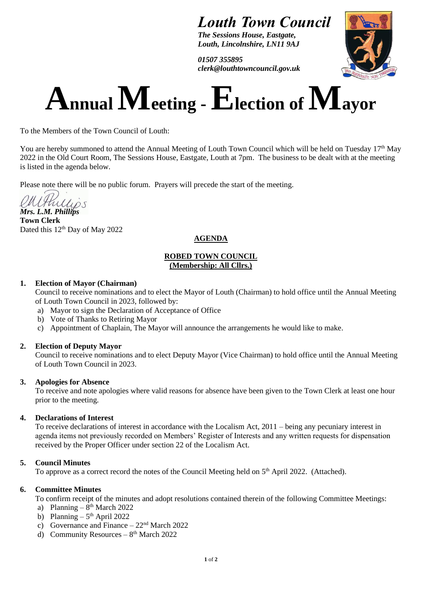# *Louth Town Council*

*The Sessions House, Eastgate, Louth, Lincolnshire, LN11 9AJ*

*01507 355895 clerk@louthtowncouncil.gov.uk*



# $\bf{A}$ **nnual**  $\bf{M}$ **eeting -**  $\bf{E}$ **lection of**  $\bf{M}$ **ayor**

To the Members of the Town Council of Louth:

You are hereby summoned to attend the Annual Meeting of Louth Town Council which will be held on Tuesday 17th May 2022 in the Old Court Room, The Sessions House, Eastgate, Louth at 7pm. The business to be dealt with at the meeting is listed in the agenda below.

Please note there will be no public forum. Prayers will precede the start of the meeting.

*Mrs. L.M. Phillips*

**Town Clerk**  Dated this 12<sup>th</sup> Day of May 2022

# **AGENDA**

# **ROBED TOWN COUNCIL (Membership: All Cllrs.)**

# **1. Election of Mayor (Chairman)**

Council to receive nominations and to elect the Mayor of Louth (Chairman) to hold office until the Annual Meeting of Louth Town Council in 2023, followed by:

- a) Mayor to sign the Declaration of Acceptance of Office
- b) Vote of Thanks to Retiring Mayor
- c) Appointment of Chaplain, The Mayor will announce the arrangements he would like to make.

# **2. Election of Deputy Mayor**

Council to receive nominations and to elect Deputy Mayor (Vice Chairman) to hold office until the Annual Meeting of Louth Town Council in 2023.

# **3. Apologies for Absence**

To receive and note apologies where valid reasons for absence have been given to the Town Clerk at least one hour prior to the meeting.

# **4. Declarations of Interest**

To receive declarations of interest in accordance with the Localism Act, 2011 – being any pecuniary interest in agenda items not previously recorded on Members' Register of Interests and any written requests for dispensation received by the Proper Officer under section 22 of the Localism Act.

# **5. Council Minutes**

To approve as a correct record the notes of the Council Meeting held on 5<sup>th</sup> April 2022. (Attached).

# **6. Committee Minutes**

To confirm receipt of the minutes and adopt resolutions contained therein of the following Committee Meetings:

- a) Planning  $8<sup>th</sup>$  March 2022
- b) Planning  $-5<sup>th</sup>$  April 2022
- c) Governance and Finance  $22<sup>nd</sup>$  March 2022
- d) Community Resources  $-8<sup>th</sup>$  March 2022